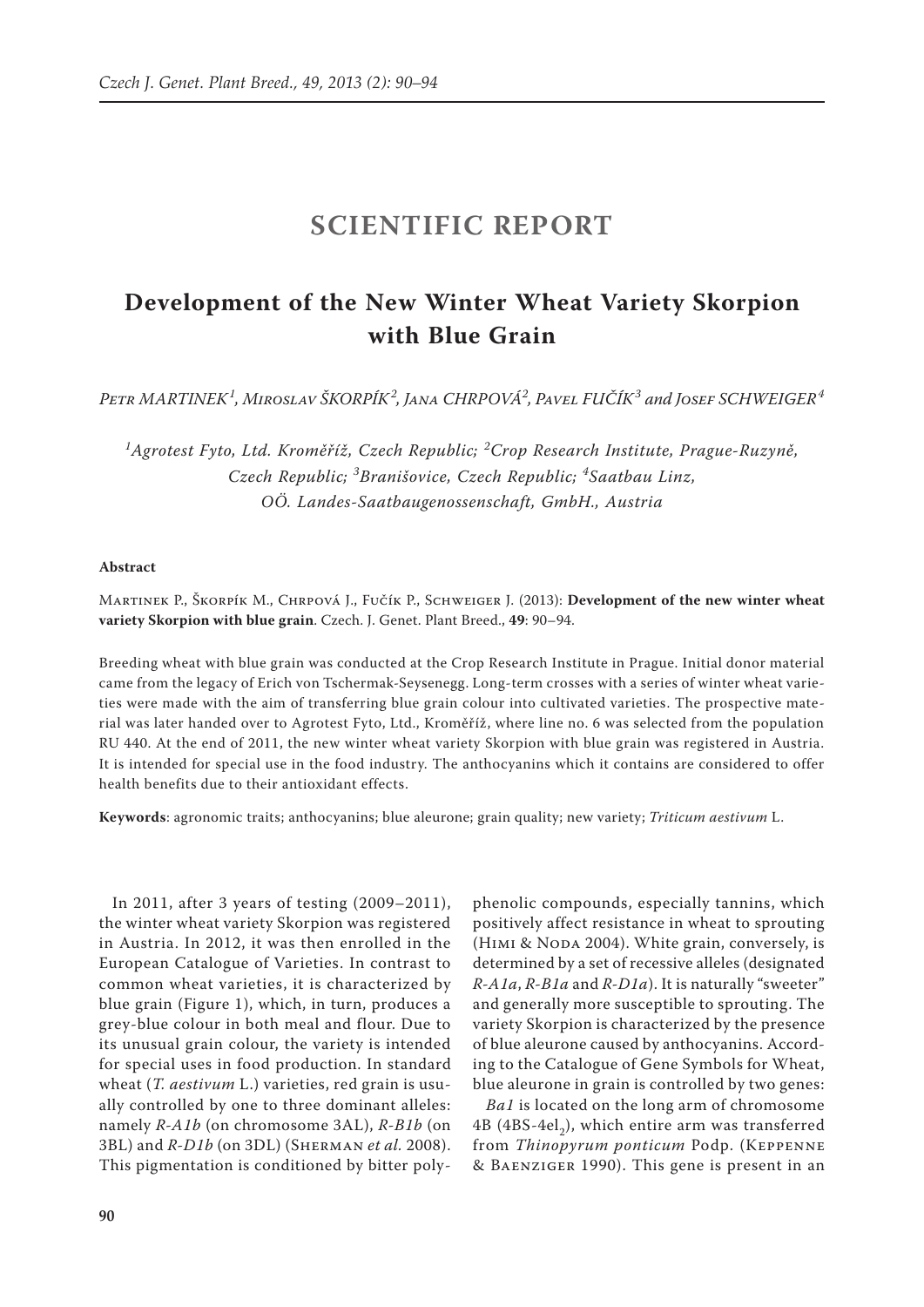# **SCIENTIFIC REPORT**

## **Development of the New Winter Wheat Variety Skorpion with Blue Grain**

*Petr MARTINEK<sup>1</sup> , Miroslav ŠKORPÍK<sup>2</sup> , Jana CHRPOVÁ2 , Pavel FUČÍK<sup>3</sup> and Josef SCHWEIGER<sup>4</sup>*

*1 Agrotest Fyto, Ltd. Kroměříž, Czech Republic; <sup>2</sup> Crop Research Institute, Prague-Ruzyně, Czech Republic; <sup>3</sup> Branišovice, Czech Republic; <sup>4</sup> Saatbau Linz, OÖ. Landes-Saatbaugenossenschaft, GmbH., Austria*

## **Abstract**

Martinek P., Škorpík M., Chrpová J., Fučík P., Schweiger J. (2013): **Development of the new winter wheat variety Skorpion with blue grain**. Czech. J. Genet. Plant Breed., **49**: 90–94.

Breeding wheat with blue grain was conducted at the Crop Research Institute in Prague. Initial donor material came from the legacy of Erich von Tschermak-Seysenegg. Long-term crosses with a series of winter wheat varieties were made with the aim of transferring blue grain colour into cultivated varieties. The prospective material was later handed over to Agrotest Fyto, Ltd., Kroměříž, where line no. 6 was selected from the population RU 440. At the end of 2011, the new winter wheat variety Skorpion with blue grain was registered in Austria. It is intended for special use in the food industry. The anthocyanins which it contains are considered to offer health benefits due to their antioxidant effects.

**Keywords**: agronomic traits; anthocyanins; blue aleurone; grain quality; new variety; *Triticum aestivum* L.

In 2011, after 3 years of testing (2009–2011), the winter wheat variety Skorpion was registered in Austria. In 2012, it was then enrolled in the European Catalogue of Varieties. In contrast to common wheat varieties, it is characterized by blue grain (Figure 1), which, in turn, produces a grey-blue colour in both meal and flour. Due to its unusual grain colour, the variety is intended for special uses in food production. In standard wheat (*T. aestivum* L.) varieties, red grain is usually controlled by one to three dominant alleles: namely *R-A1b* (on chromosome 3AL), *R-B1b* (on 3BL) and *R-D1b* (on 3DL) (Sherman *et al.* 2008). This pigmentation is conditioned by bitter poly-

phenolic compounds, especially tannins, which positively affect resistance in wheat to sprouting (HIMI & NODA 2004). White grain, conversely, is determined by a set of recessive alleles (designated *R-A1a*, *R-B1a* and *R-D1a*). It is naturally "sweeter" and generally more susceptible to sprouting. The variety Skorpion is characterized by the presence of blue aleurone caused by anthocyanins. According to the Catalogue of Gene Symbols for Wheat, blue aleurone in grain is controlled by two genes:

*Ba1* is located on the long arm of chromosome 4B (4BS-4el<sub>2</sub>), which entire arm was transferred from *Thinopyrum ponticum* Podp. (Keppenne & Baenziger 1990). This gene is present in an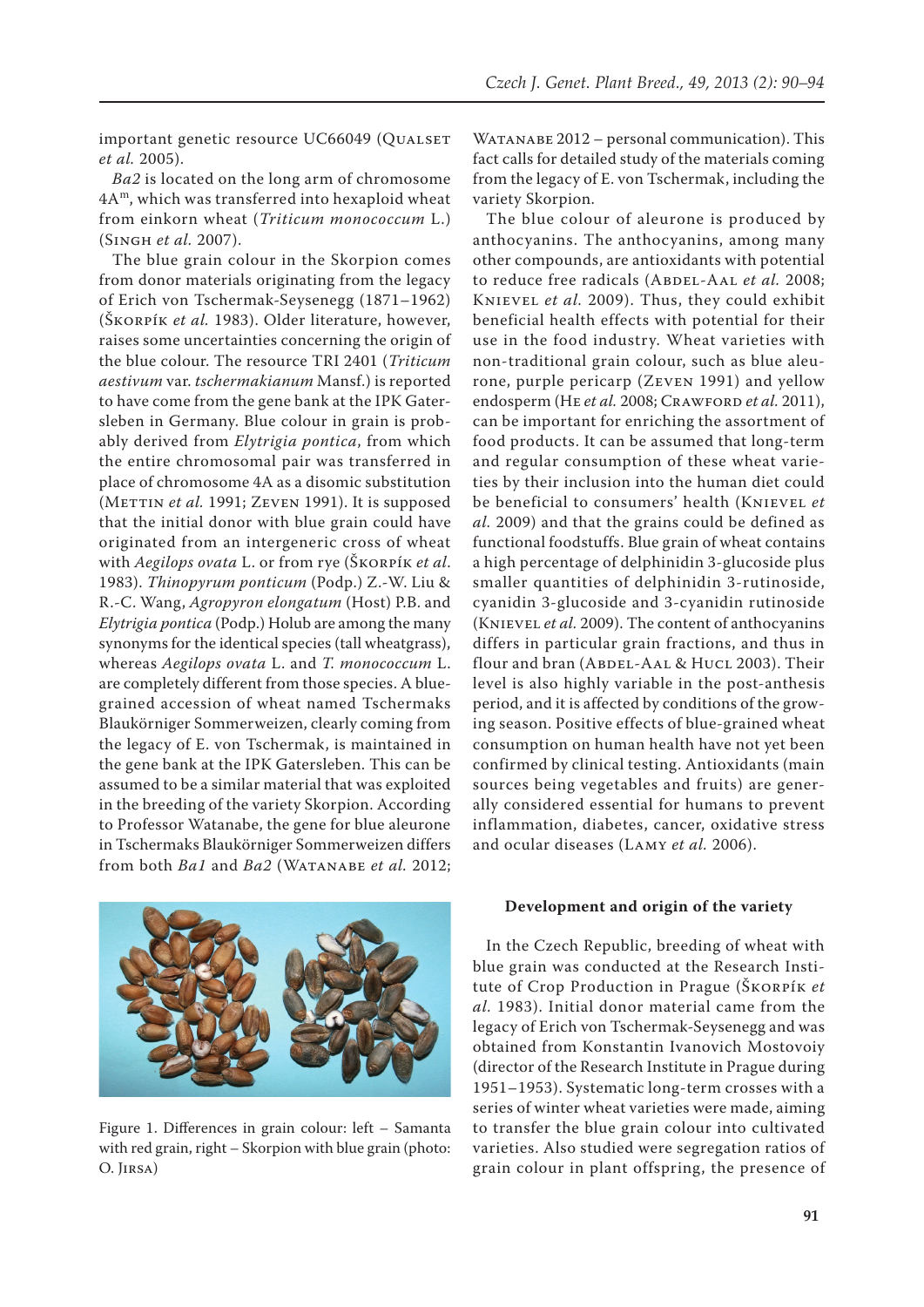important genetic resource UC66049 (QUALSET *et al.* 2005).

*Ba2* is located on the long arm of chromosome 4Am, which was transferred into hexaploid wheat from einkorn wheat (*Triticum monococcum* L.) (Singh *et al.* 2007).

The blue grain colour in the Skorpion comes from donor materials originating from the legacy of Erich von Tschermak-Seysenegg (1871–1962) (Škorpík *et al.* 1983). Older literature, however, raises some uncertainties concerning the origin of the blue colour. The resource TRI 2401 (*Triticum aestivum* var. *tschermakianum* Mansf.) is reported to have come from the gene bank at the IPK Gatersleben in Germany. Blue colour in grain is probably derived from *Elytrigia pontica*, from which the entire chromosomal pair was transferred in place of chromosome 4A as a disomic substitution (METTIN *et al.* 1991; ZEVEN 1991). It is supposed that the initial donor with blue grain could have originated from an intergeneric cross of wheat with *Aegilops ovata* L. or from rye (Škorpík *et al*. 1983). *Thinopyrum ponticum* (Podp.) Z.-W. Liu & R.-C. Wang, *Agropyron elongatum* (Host) P.B. and *Elytrigia pontica* (Podp.) Holub are among the many synonyms for the identical species (tall wheatgrass), whereas *Aegilops ovata* L. and *T. monococcum* L. are completely different from those species. A bluegrained accession of wheat named Tschermaks Blaukörniger Sommerweizen, clearly coming from the legacy of E. von Tschermak, is maintained in the gene bank at the IPK Gatersleben. This can be assumed to be a similar material that was exploited in the breeding of the variety Skorpion. According to Professor Watanabe, the gene for blue aleurone in Tschermaks Blaukörniger Sommerweizen differs from both *Ba1* and *Ba2* (Watanabe *et al.* 2012;



Figure 1. Differences in grain colour: left – Samanta with red grain, right – Skorpion with blue grain (photo: O. Jirsa)

WATANABE 2012 – personal communication). This fact calls for detailed study of the materials coming from the legacy of E. von Tschermak, including the variety Skorpion.

The blue colour of aleurone is produced by anthocyanins. The anthocyanins, among many other compounds, are antioxidants with potential to reduce free radicals (ABDEL-AAL *et al.* 2008; Knievel *et al.* 2009). Thus, they could exhibit beneficial health effects with potential for their use in the food industry. Wheat varieties with non-traditional grain colour, such as blue aleurone, purple pericarp (Zeven 1991) and yellow endosperm (HE *et al.* 2008; CRAWFORD *et al.* 2011), can be important for enriching the assortment of food products. It can be assumed that long-term and regular consumption of these wheat varieties by their inclusion into the human diet could be beneficial to consumers' health (Knievel *et al.* 2009) and that the grains could be defined as functional foodstuffs. Blue grain of wheat contains a high percentage of delphinidin 3-glucoside plus smaller quantities of delphinidin 3-rutinoside, cyanidin 3-glucoside and 3-cyanidin rutinoside (Knievel *et al.* 2009). The content of anthocyanins differs in particular grain fractions, and thus in flour and bran (ABDEL-AAL & HUCL 2003). Their level is also highly variable in the post-anthesis period, and it is affected by conditions of the growing season. Positive effects of blue-grained wheat consumption on human health have not yet been confirmed by clinical testing. Antioxidants (main sources being vegetables and fruits) are generally considered essential for humans to prevent inflammation, diabetes, cancer, oxidative stress and ocular diseases (Lamy *et al.* 2006).

## **Development and origin of the variety**

In the Czech Republic, breeding of wheat with blue grain was conducted at the Research Institute of Crop Production in Prague (Škorpík *et al.* 1983). Initial donor material came from the legacy of Erich von Tschermak-Seysenegg and was obtained from Konstantin Ivanovich Mostovoiy (director of the Research Institute in Prague during 1951–1953). Systematic long-term crosses with a series of winter wheat varieties were made, aiming to transfer the blue grain colour into cultivated varieties. Also studied were segregation ratios of grain colour in plant offspring, the presence of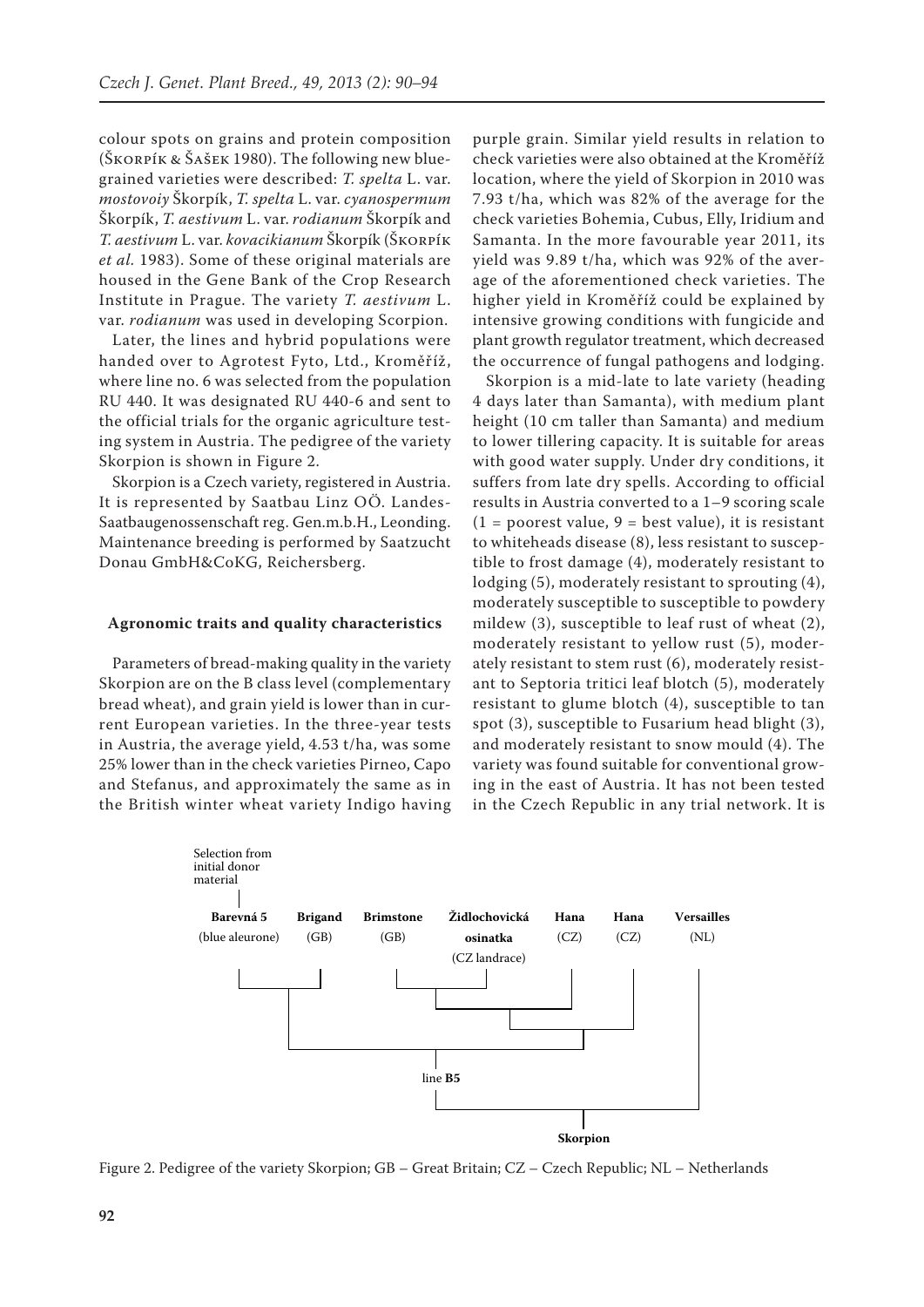colour spots on grains and protein composition (Škorpík & Šašek 1980). The following new bluegrained varieties were described: *T. spelta* L. var. *mostovoiy* Škorpík, *T. spelta* L. var. *cyanospermum* Škorpík, *T. aestivum* L. var. *rodianum* Škorpík and *T. aestivum* L. var. *kovacikianum* Škorpík (Škorpík *et al.* 1983). Some of these original materials are housed in the Gene Bank of the Crop Research Institute in Prague. The variety *T. aestivum* L. var. *rodianum* was used in developing Scorpion.

Later, the lines and hybrid populations were handed over to Agrotest Fyto, Ltd., Kroměříž, where line no. 6 was selected from the population RU 440. It was designated RU 440-6 and sent to the official trials for the organic agriculture testing system in Austria. The pedigree of the variety Skorpion is shown in Figure 2.

Skorpion is a Czech variety, registered in Austria. It is represented by Saatbau Linz OÖ. Landes-Saatbaugenossenschaft reg. Gen.m.b.H., Leonding. Maintenance breeding is performed by Saatzucht Donau GmbH&CoKG, Reichersberg.

## **Agronomic traits and quality characteristics**

Parameters of bread-making quality in the variety Skorpion are on the B class level (complementary bread wheat), and grain yield is lower than in current European varieties. In the three-year tests in Austria, the average yield, 4.53 t/ha, was some 25% lower than in the check varieties Pirneo, Capo and Stefanus, and approximately the same as in the British winter wheat variety Indigo having

purple grain. Similar yield results in relation to check varieties were also obtained at the Kroměříž location, where the yield of Skorpion in 2010 was 7.93 t/ha, which was 82% of the average for the check varieties Bohemia, Cubus, Elly, Iridium and Samanta. In the more favourable year 2011, its yield was 9.89 t/ha, which was 92% of the average of the aforementioned check varieties. The higher yield in Kroměříž could be explained by intensive growing conditions with fungicide and plant growth regulator treatment, which decreased the occurrence of fungal pathogens and lodging.

Skorpion is a mid-late to late variety (heading 4 days later than Samanta), with medium plant height (10 cm taller than Samanta) and medium to lower tillering capacity. It is suitable for areas with good water supply. Under dry conditions, it suffers from late dry spells. According to official results in Austria converted to a 1–9 scoring scale  $(1 =$  poorest value,  $9 =$  best value), it is resistant to whiteheads disease (8), less resistant to susceptible to frost damage (4), moderately resistant to lodging (5), moderately resistant to sprouting (4), moderately susceptible to susceptible to powdery mildew (3), susceptible to leaf rust of wheat (2), moderately resistant to yellow rust (5), moderately resistant to stem rust (6), moderately resistant to Septoria tritici leaf blotch (5), moderately resistant to glume blotch (4), susceptible to tan spot (3), susceptible to Fusarium head blight (3), and moderately resistant to snow mould (4). The variety was found suitable for conventional growing in the east of Austria. It has not been tested in the Czech Republic in any trial network. It is



Figure 2. Pedigree of the variety Skorpion; GB – Great Britain; CZ – Czech Republic; NL – Netherlands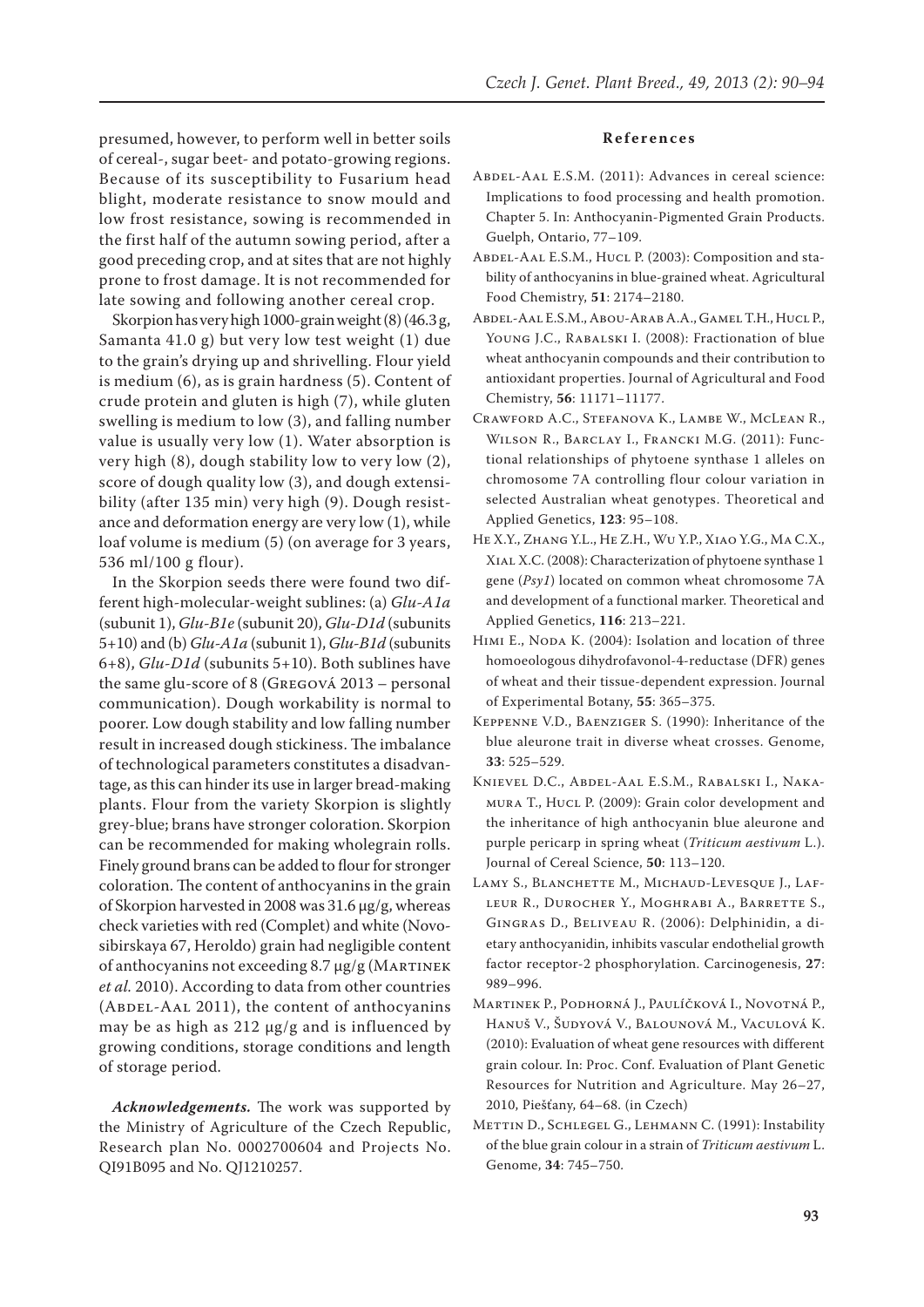presumed, however, to perform well in better soils of cereal-, sugar beet- and potato-growing regions. Because of its susceptibility to Fusarium head blight, moderate resistance to snow mould and low frost resistance, sowing is recommended in the first half of the autumn sowing period, after a good preceding crop, and at sites that are not highly prone to frost damage. It is not recommended for late sowing and following another cereal crop.

Skorpion has very high 1000-grain weight (8) (46.3 g, Samanta 41.0 g) but very low test weight (1) due to the grain's drying up and shrivelling. Flour yield is medium (6), as is grain hardness (5). Content of crude protein and gluten is high (7), while gluten swelling is medium to low (3), and falling number value is usually very low (1). Water absorption is very high (8), dough stability low to very low (2), score of dough quality low (3), and dough extensibility (after 135 min) very high (9). Dough resistance and deformation energy are very low (1), while loaf volume is medium (5) (on average for 3 years, 536 ml/100 g flour).

In the Skorpion seeds there were found two different high-molecular-weight sublines: (a) *Glu-A1a* (subunit 1), *Glu-B1e* (subunit 20), *Glu-D1d* (subunits 5+10) and (b) *Glu-A1a* (subunit 1), *Glu-B1d* (subunits 6+8), *Glu-D1d* (subunits 5+10). Both sublines have the same glu-score of 8 (Gregová 2013 – personal communication). Dough workability is normal to poorer. Low dough stability and low falling number result in increased dough stickiness. The imbalance of technological parameters constitutes a disadvantage, as this can hinder its use in larger bread-making plants. Flour from the variety Skorpion is slightly grey-blue; brans have stronger coloration. Skorpion can be recommended for making wholegrain rolls. Finely ground brans can be added to flour for stronger coloration. The content of anthocyanins in the grain of Skorpion harvested in 2008 was 31.6 μg/g, whereas check varieties with red (Complet) and white (Novosibirskaya 67, Heroldo) grain had negligible content of anthocyanins not exceeding 8.7 μg/g (Martinek *et al.* 2010). According to data from other countries (ABDEL-AAL 2011), the content of anthocyanins may be as high as 212 μg/g and is influenced by growing conditions, storage conditions and length of storage period.

*Acknowledgements.* The work was supported by the Ministry of Agriculture of the Czech Republic, Research plan No. 0002700604 and Projects No. QI91B095 and No. QJ1210257.

#### **References**

- Abdel-Aal E.S.M. (2011): Advances in cereal science: Implications to food processing and health promotion. Chapter 5. In: Anthocyanin-Pigmented Grain Products. Guelph, Ontario, 77–109.
- ABDEL-AAL E.S.M., HUCL P. (2003): Composition and stability of anthocyanins in blue-grained wheat. Agricultural Food Chemistry, **51**: 2174–2180.
- Abdel-Aal E.S.M., Abou-Arab A.A., Gamel T.H., Hucl P., YOUNG J.C., RABALSKI I. (2008): Fractionation of blue wheat anthocyanin compounds and their contribution to antioxidant properties. Journal of Agricultural and Food Chemistry, **56**: 11171–11177.
- Crawford A.C., Stefanova K., Lambe W., McLean R., Wilson R., Barclay I., Francki M.G. (2011): Functional relationships of phytoene synthase 1 alleles on chromosome 7A controlling flour colour variation in selected Australian wheat genotypes. Theoretical and Applied Genetics, **123**: 95–108.
- He X.Y., Zhang Y.L., He Z.H., Wu Y.P., Xiao Y.G., Ma C.X., Xial X.C. (2008): Characterization of phytoene synthase 1 gene (*Psy1*) located on common wheat chromosome 7A and development of a functional marker. Theoretical and Applied Genetics, **116**: 213–221.
- HIMI E., NODA K. (2004): Isolation and location of three homoeologous dihydrofavonol-4-reductase (DFR) genes of wheat and their tissue-dependent expression. Journal of Experimental Botany, **55**: 365–375.
- Keppenne V.D., Baenziger S. (1990): Inheritance of the blue aleurone trait in diverse wheat crosses. Genome, **33**: 525–529.
- Knievel D.C., Abdel-Aal E.S.M., Rabalski I., Nakamura T., Hucl P. (2009): Grain color development and the inheritance of high anthocyanin blue aleurone and purple pericarp in spring wheat (*Triticum aestivum* L.). Journal of Cereal Science, **50**: 113–120.
- LAMY S., BLANCHETTE M., MICHAUD-LEVESQUE J., LAFleur R., Durocher Y., Moghrabi A., Barrette S., Gingras D., Beliveau R. (2006): Delphinidin, a dietary anthocyanidin, inhibits vascular endothelial growth factor receptor-2 phosphorylation. Carcinogenesis, **27**: 989–996.
- Martinek P., Podhorná J., Paulíčková I., Novotná P., Hanuš V., Šudyová V., Balounová M., Vaculová K. (2010): Evaluation of wheat gene resources with different grain colour. In: Proc. Conf. Evaluation of Plant Genetic Resources for Nutrition and Agriculture. May 26–27, 2010, Piešťany, 64–68. (in Czech)
- Mettin D., Schlegel G., Lehmann C. (1991): Instability of the blue grain colour in a strain of *Triticum aestivum* L. Genome, **34**: 745–750.